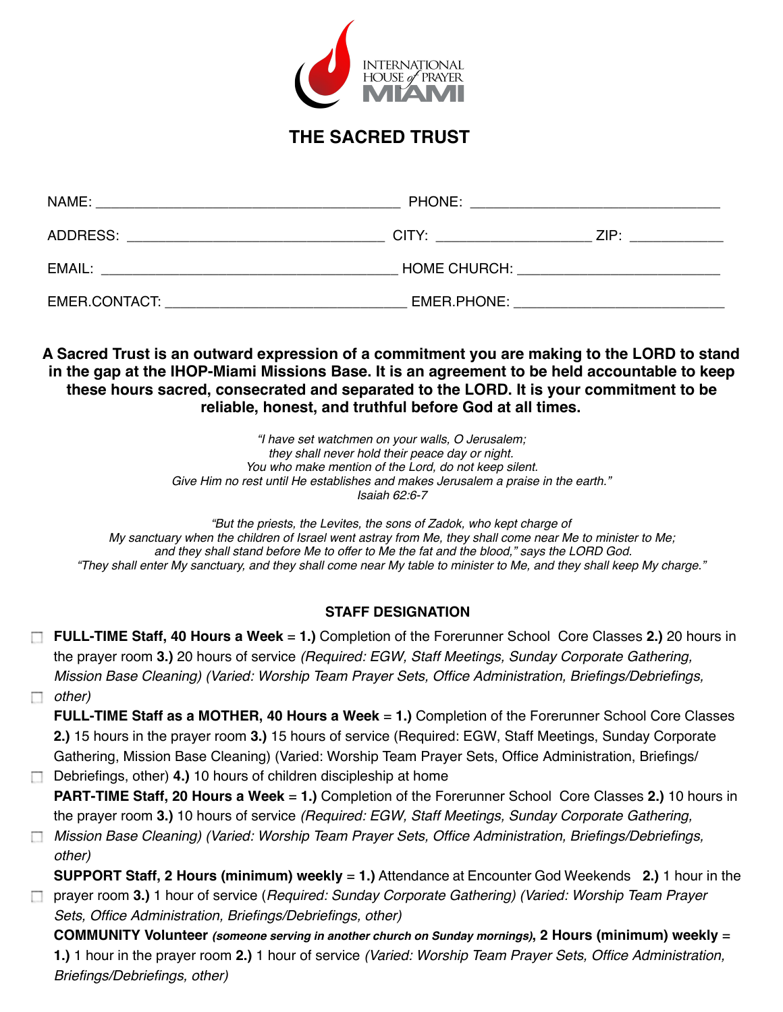

## **THE SACRED TRUST**

| NAME:<br><u> 1980 - Jan Barnett, mars et al. (</u>                                        | PHONE:<br><u> 1980 - Jan Barbara, manazarta da kasas da shekara 1980 - Ang Barbara na Barbara na Barbara na Barbara na Barba</u>                                                                                               |                                                                                                                      |
|-------------------------------------------------------------------------------------------|--------------------------------------------------------------------------------------------------------------------------------------------------------------------------------------------------------------------------------|----------------------------------------------------------------------------------------------------------------------|
| ADDRESS:                                                                                  | CITY: the contract of the contract of the contract of the contract of the contract of the contract of the contract of the contract of the contract of the contract of the contract of the contract of the contract of the cont | ZIP:                                                                                                                 |
| EMAIL:<br>the contract of the contract of the contract of the contract of the contract of | <b>HOME CHURCH:</b>                                                                                                                                                                                                            | <u> 1980 - Jan Stein Stein Stein Stein Stein Stein Stein Stein Stein Stein Stein Stein Stein Stein Stein Stein S</u> |
| EMER.CONTACT:                                                                             | EMER.PHONE:                                                                                                                                                                                                                    |                                                                                                                      |

**A Sacred Trust is an outward expression of a commitment you are making to the LORD to stand in the gap at the IHOP-Miami Missions Base. It is an agreement to be held accountable to keep these hours sacred, consecrated and separated to the LORD. It is your commitment to be reliable, honest, and truthful before God at all times.**

> *"I have set watchmen on your walls, O Jerusalem; they shall never hold their peace day or night. You who make mention of the Lord, do not keep silent. Give Him no rest until He establishes and makes Jerusalem a praise in the earth." Isaiah 62:6-7*

*"But the priests, the Levites, the sons of Zadok, who kept charge of My sanctuary when the children of Israel went astray from Me, they shall come near Me to minister to Me; and they shall stand before Me to offer to Me the fat and the blood," says the LORD God. "They shall enter My sanctuary, and they shall come near My table to minister to Me, and they shall keep My charge."* 

## **STAFF DESIGNATION**

- **FULL-TIME Staff, 40 Hours a Week** = **1.)** Completion of the Forerunner School Core Classes **2.)** 20 hours in the prayer room **3.)** 20 hours of service *(Required: EGW, Staff Meetings, Sunday Corporate Gathering, Mission Base Cleaning) (Varied: Worship Team Prayer Sets, Office Administration, Briefings/Debriefings, other)*
- **FULL-TIME Staff as a MOTHER, 40 Hours a Week** = **1.)** Completion of the Forerunner School Core Classes **2.)** 15 hours in the prayer room **3.)** 15 hours of service (Required: EGW, Staff Meetings, Sunday Corporate Gathering, Mission Base Cleaning) (Varied: Worship Team Prayer Sets, Office Administration, Briefings/ □ Debriefings, other) 4.) 10 hours of children discipleship at home
- **PART-TIME Staff, 20 Hours a Week** = **1.)** Completion of the Forerunner School Core Classes **2.)** 10 hours in the prayer room **3.)** 10 hours of service *(Required: EGW, Staff Meetings, Sunday Corporate Gathering,*
- *Mission Base Cleaning) (Varied: Worship Team Prayer Sets, Office Administration, Briefings/Debriefings, other)*
- **SUPPORT Staff, 2 Hours (minimum) weekly** = **1.)** Attendance at Encounter God Weekends **2.)** 1 hour in the prayer room **3.)** 1 hour of service (*Required: Sunday Corporate Gathering) (Varied: Worship Team Prayer Sets, Office Administration, Briefings/Debriefings, other)*

**COMMUNITY Volunteer** *(someone serving in another church on Sunday mornings)***, 2 Hours (minimum) weekly** = **1.)** 1 hour in the prayer room **2.)** 1 hour of service *(Varied: Worship Team Prayer Sets, Office Administration, Briefings/Debriefings, other)*